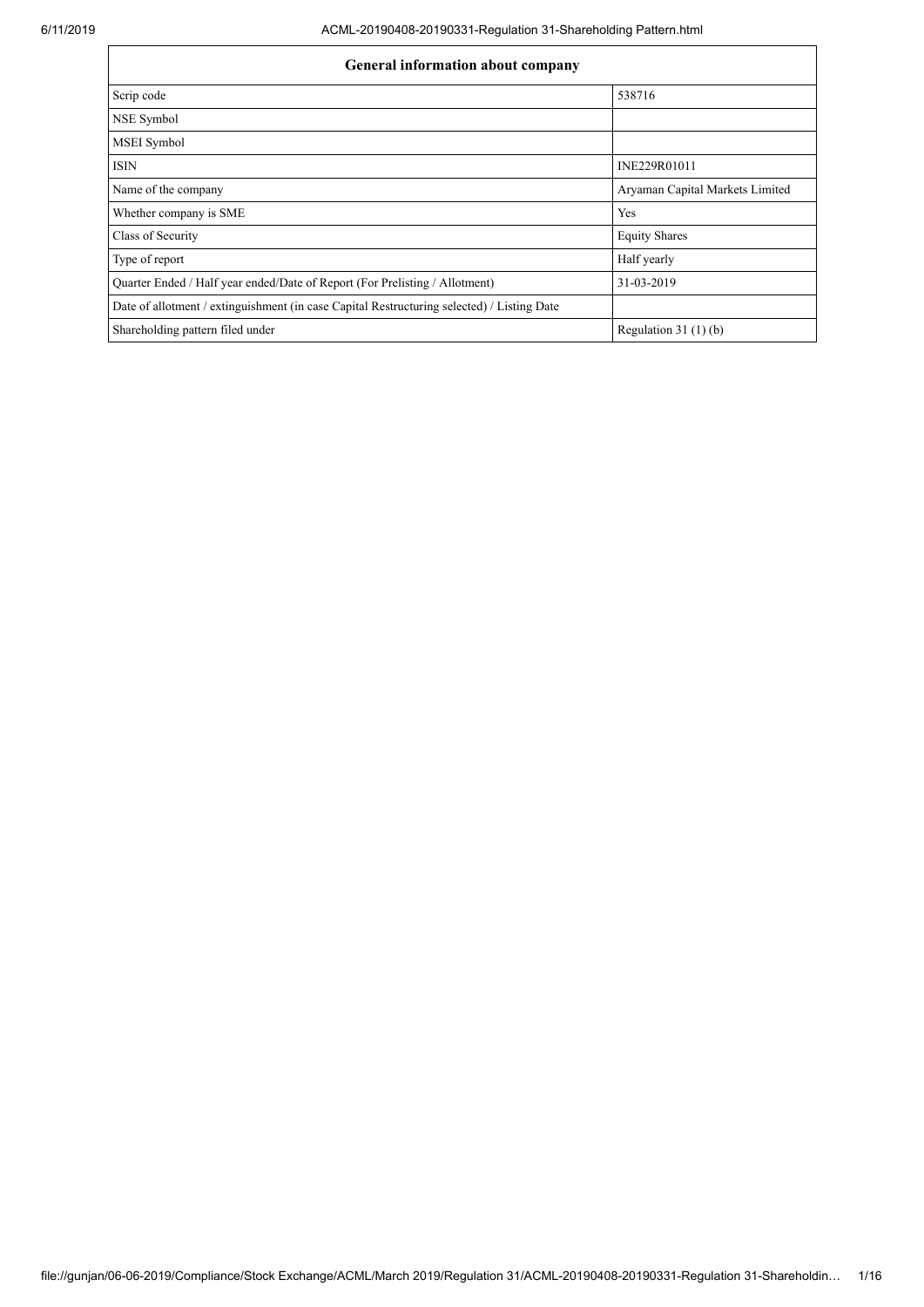| General information about company                                                          |                                 |  |  |  |  |  |
|--------------------------------------------------------------------------------------------|---------------------------------|--|--|--|--|--|
| Scrip code                                                                                 | 538716                          |  |  |  |  |  |
| NSE Symbol                                                                                 |                                 |  |  |  |  |  |
| MSEI Symbol                                                                                |                                 |  |  |  |  |  |
| <b>ISIN</b>                                                                                | INE229R01011                    |  |  |  |  |  |
| Name of the company                                                                        | Aryaman Capital Markets Limited |  |  |  |  |  |
| Whether company is SME                                                                     | Yes                             |  |  |  |  |  |
| Class of Security                                                                          | <b>Equity Shares</b>            |  |  |  |  |  |
| Type of report                                                                             | Half yearly                     |  |  |  |  |  |
| Quarter Ended / Half year ended/Date of Report (For Prelisting / Allotment)                | 31-03-2019                      |  |  |  |  |  |
| Date of allotment / extinguishment (in case Capital Restructuring selected) / Listing Date |                                 |  |  |  |  |  |
| Shareholding pattern filed under                                                           | Regulation $31(1)(b)$           |  |  |  |  |  |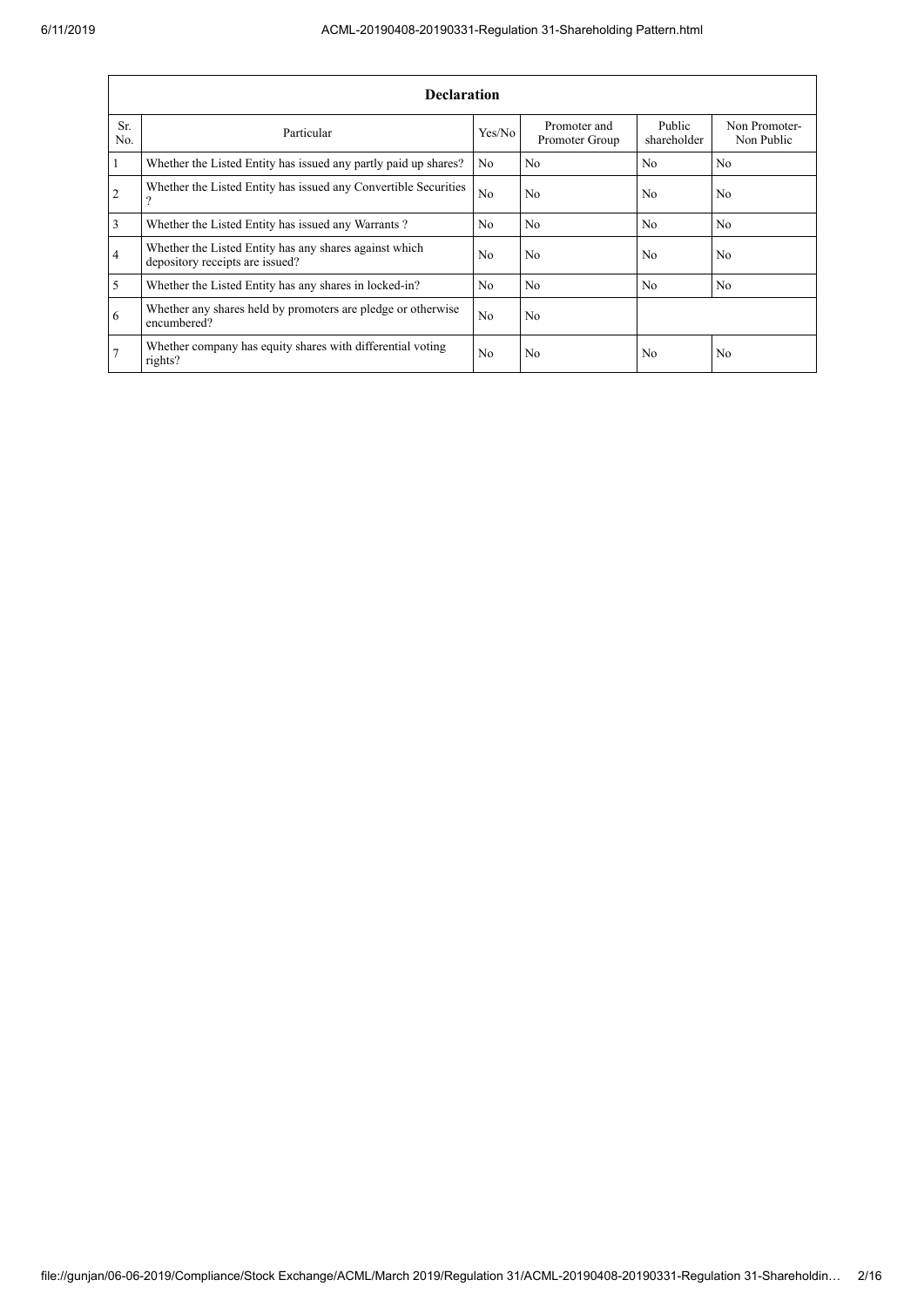|                | <b>Declaration</b>                                                                        |                |                                |                       |                             |  |  |  |
|----------------|-------------------------------------------------------------------------------------------|----------------|--------------------------------|-----------------------|-----------------------------|--|--|--|
| Sr.<br>No.     | Particular                                                                                | Yes/No         | Promoter and<br>Promoter Group | Public<br>shareholder | Non Promoter-<br>Non Public |  |  |  |
| 1              | Whether the Listed Entity has issued any partly paid up shares?                           | N <sub>0</sub> | N <sub>0</sub>                 | N <sub>0</sub>        | N <sub>0</sub>              |  |  |  |
| $\overline{2}$ | Whether the Listed Entity has issued any Convertible Securities<br>റ                      | N <sub>o</sub> | No                             | N <sub>0</sub>        | No.                         |  |  |  |
| 3              | Whether the Listed Entity has issued any Warrants?                                        | N <sub>0</sub> | N <sub>0</sub>                 | N <sub>0</sub>        | N <sub>0</sub>              |  |  |  |
| $\overline{4}$ | Whether the Listed Entity has any shares against which<br>depository receipts are issued? | N <sub>o</sub> | No                             | N <sub>0</sub>        | No.                         |  |  |  |
| 5              | Whether the Listed Entity has any shares in locked-in?                                    | N <sub>0</sub> | N <sub>0</sub>                 | N <sub>0</sub>        | No.                         |  |  |  |
| 6              | Whether any shares held by promoters are pledge or otherwise<br>encumbered?               | N <sub>o</sub> | No                             |                       |                             |  |  |  |
| 7              | Whether company has equity shares with differential voting<br>rights?                     | N <sub>o</sub> | No                             | N <sub>0</sub>        | No                          |  |  |  |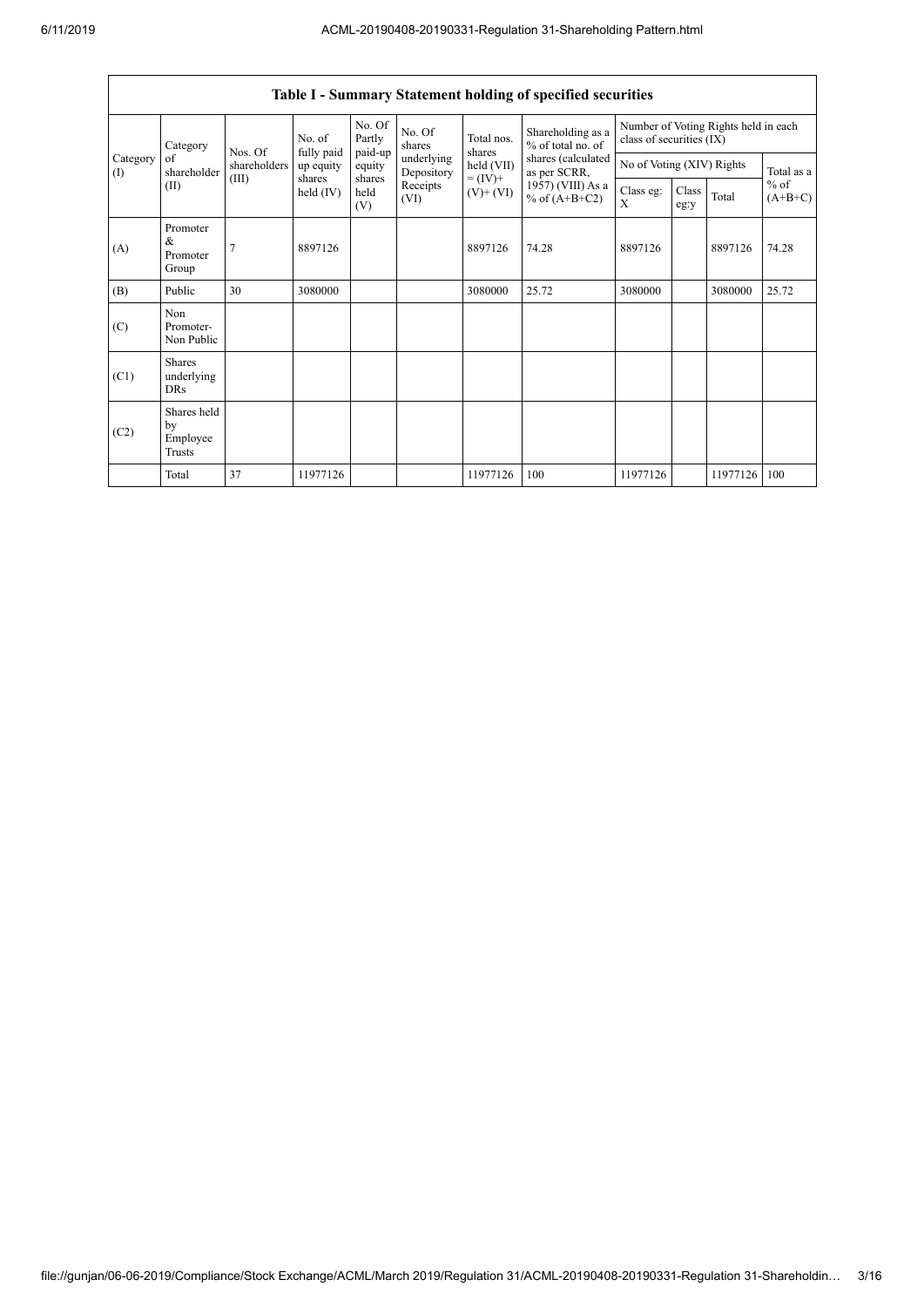|                               | Table I - Summary Statement holding of specified securities |                |                       |                             |                          |                                                                      |                                        |                                                                  |       |                     |            |
|-------------------------------|-------------------------------------------------------------|----------------|-----------------------|-----------------------------|--------------------------|----------------------------------------------------------------------|----------------------------------------|------------------------------------------------------------------|-------|---------------------|------------|
|                               | Category                                                    | Nos. Of        | No. of<br>fully paid  | No. Of<br>Partly<br>paid-up | No. Of<br>shares         | Total nos.<br>shares                                                 | Shareholding as a<br>% of total no. of | Number of Voting Rights held in each<br>class of securities (IX) |       |                     |            |
| Category<br>$\textcircled{1}$ | of<br>shareholder                                           | shareholders   | up equity             | equity                      | underlying<br>Depository | held (VII)                                                           | shares (calculated<br>as per SCRR,     | No of Voting (XIV) Rights                                        |       |                     | Total as a |
|                               | (II)                                                        | (III)          | shares<br>held $(IV)$ | shares<br>held<br>(V)       | Receipts<br>(VI)         | $= (IV) +$<br>1957) (VIII) As a<br>$(V)$ + $(VI)$<br>% of $(A+B+C2)$ | Class eg:<br>X                         | Class<br>eg:y                                                    | Total | $%$ of<br>$(A+B+C)$ |            |
| (A)                           | Promoter<br>&<br>Promoter<br>Group                          | $\overline{7}$ | 8897126               |                             |                          | 8897126                                                              | 74.28                                  | 8897126                                                          |       | 8897126             | 74.28      |
| (B)                           | Public                                                      | 30             | 3080000               |                             |                          | 3080000                                                              | 25.72                                  | 3080000                                                          |       | 3080000             | 25.72      |
| (C)                           | Non<br>Promoter-<br>Non Public                              |                |                       |                             |                          |                                                                      |                                        |                                                                  |       |                     |            |
| (C1)                          | <b>Shares</b><br>underlying<br><b>DRs</b>                   |                |                       |                             |                          |                                                                      |                                        |                                                                  |       |                     |            |
| (C2)                          | Shares held<br>by<br>Employee<br>Trusts                     |                |                       |                             |                          |                                                                      |                                        |                                                                  |       |                     |            |
|                               | Total                                                       | 37             | 11977126              |                             |                          | 11977126                                                             | 100                                    | 11977126                                                         |       | 11977126            | 100        |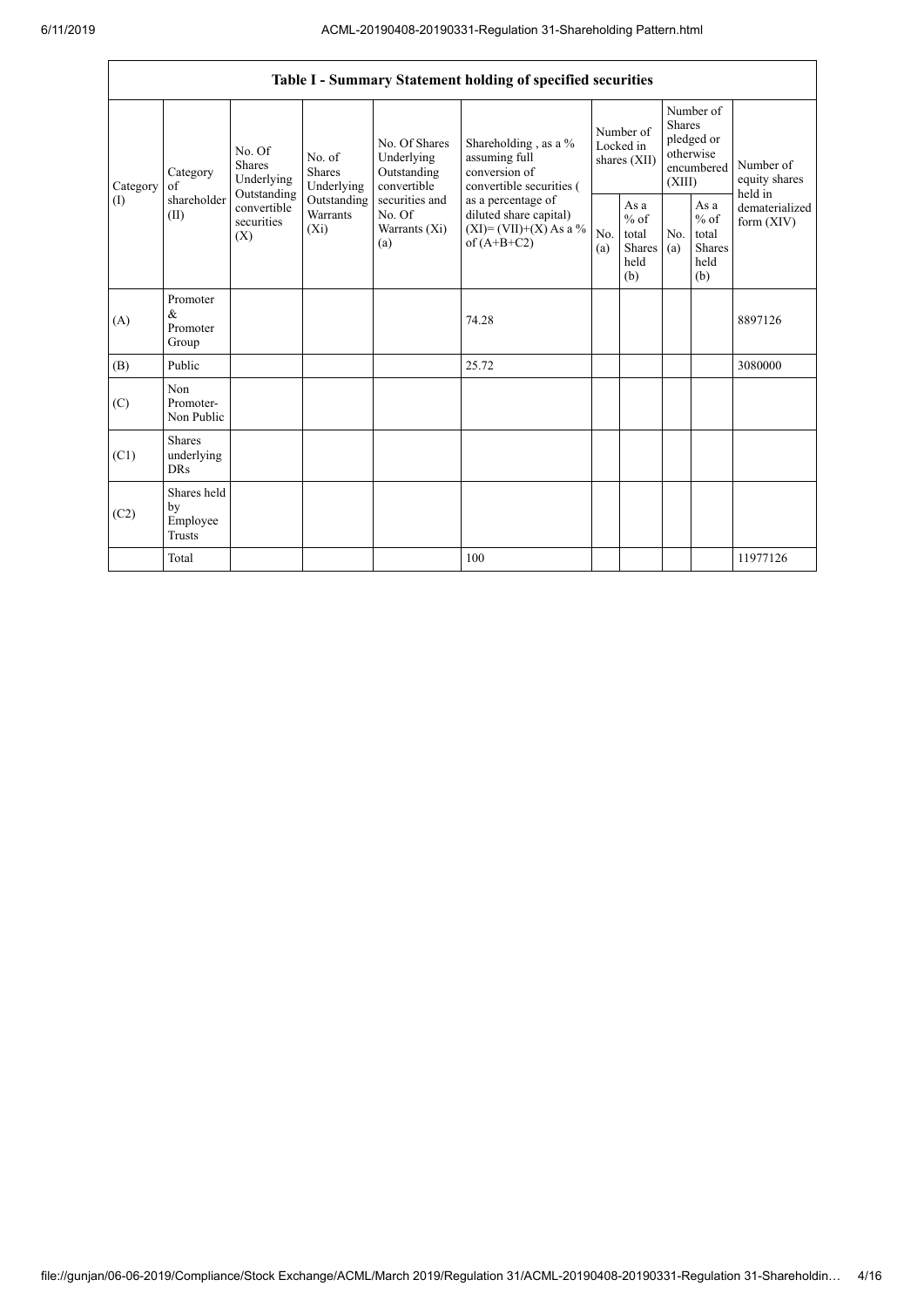|                | Table I - Summary Statement holding of specified securities |                                                 |                                                                                                                                                                                                                                                                                                                                                                                  |            |                                                  |                                        |                                                         |                                                                               |  |                                                                         |
|----------------|-------------------------------------------------------------|-------------------------------------------------|----------------------------------------------------------------------------------------------------------------------------------------------------------------------------------------------------------------------------------------------------------------------------------------------------------------------------------------------------------------------------------|------------|--------------------------------------------------|----------------------------------------|---------------------------------------------------------|-------------------------------------------------------------------------------|--|-------------------------------------------------------------------------|
| of<br>Category | Category                                                    | No. Of<br><b>Shares</b><br>Underlying           | Shareholding, as a %<br>No. Of Shares<br>Underlying<br>No. of<br>assuming full<br>conversion of<br><b>Shares</b><br>Outstanding<br>Underlying<br>convertible<br>convertible securities (<br>Outstanding<br>securities and<br>as a percentage of<br>Warrants<br>diluted share capital)<br>No. Of<br>$(XI) = (VII)+(X) As a %$<br>$(X_i)$<br>Warrants (Xi)<br>of $(A+B+C2)$<br>(a) |            |                                                  | Number of<br>Locked in<br>shares (XII) |                                                         | Number of<br><b>Shares</b><br>pledged or<br>otherwise<br>encumbered<br>(XIII) |  | Number of<br>equity shares<br>held in<br>dematerialized<br>form $(XIV)$ |
| (I)            | shareholder<br>(II)                                         | Outstanding<br>convertible<br>securities<br>(X) |                                                                                                                                                                                                                                                                                                                                                                                  | No.<br>(a) | As a<br>$%$ of<br>total<br>Shares<br>held<br>(b) | No.<br>(a)                             | As a<br>$%$ of<br>total<br><b>Shares</b><br>held<br>(b) |                                                                               |  |                                                                         |
| (A)            | Promoter<br>&<br>Promoter<br>Group                          |                                                 |                                                                                                                                                                                                                                                                                                                                                                                  |            | 74.28                                            |                                        |                                                         |                                                                               |  | 8897126                                                                 |
| (B)            | Public                                                      |                                                 |                                                                                                                                                                                                                                                                                                                                                                                  |            | 25.72                                            |                                        |                                                         |                                                                               |  | 3080000                                                                 |
| (C)            | Non<br>Promoter-<br>Non Public                              |                                                 |                                                                                                                                                                                                                                                                                                                                                                                  |            |                                                  |                                        |                                                         |                                                                               |  |                                                                         |
| (C1)           | <b>Shares</b><br>underlying<br><b>DRs</b>                   |                                                 |                                                                                                                                                                                                                                                                                                                                                                                  |            |                                                  |                                        |                                                         |                                                                               |  |                                                                         |
| (C2)           | Shares held<br>by<br>Employee<br><b>Trusts</b>              |                                                 |                                                                                                                                                                                                                                                                                                                                                                                  |            |                                                  |                                        |                                                         |                                                                               |  |                                                                         |
|                | Total                                                       |                                                 |                                                                                                                                                                                                                                                                                                                                                                                  |            | 100                                              |                                        |                                                         |                                                                               |  | 11977126                                                                |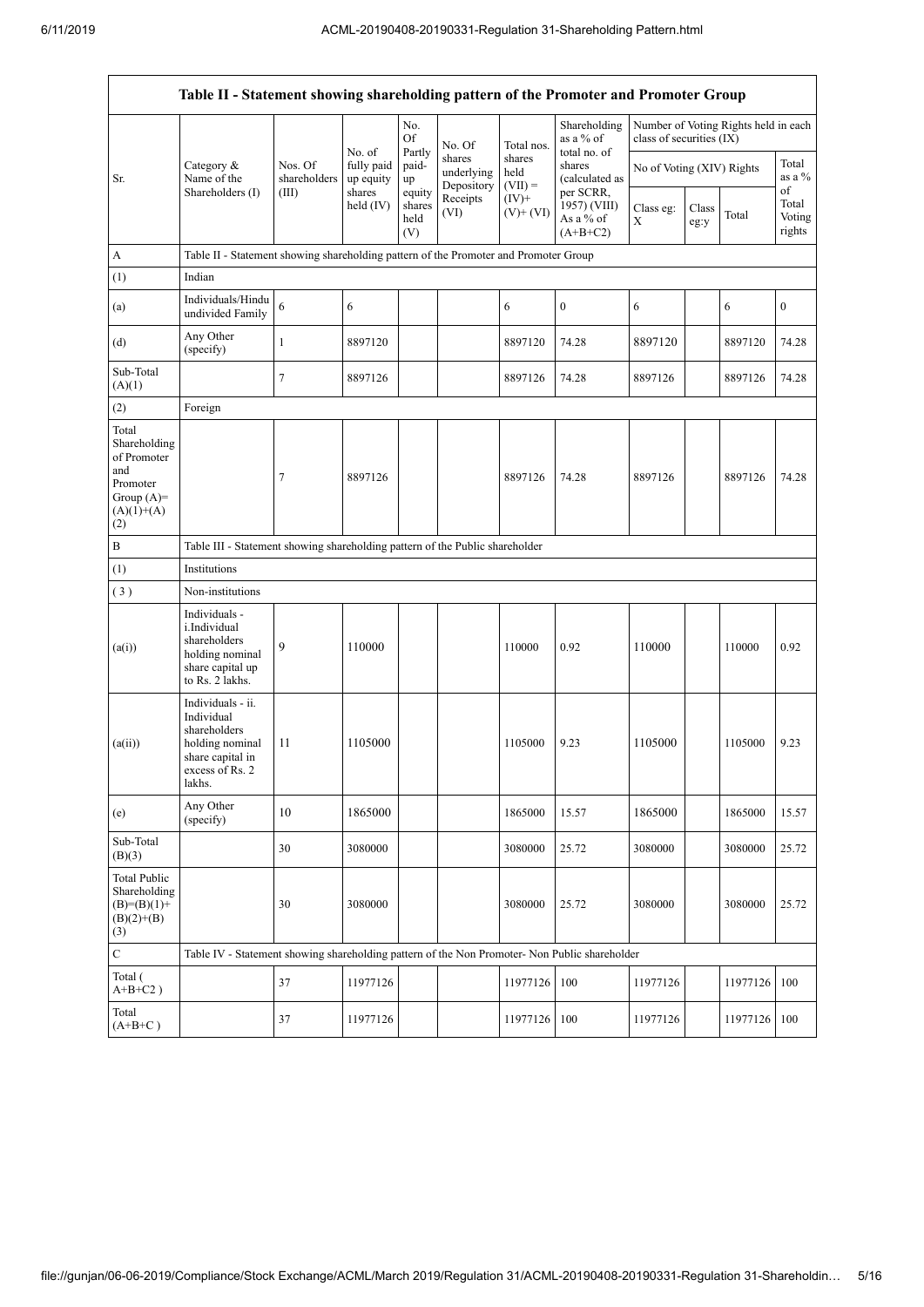$\overline{\mathsf{I}}$ 

|                                                                                                | Table II - Statement showing shareholding pattern of the Promoter and Promoter Group                                |                         |                                   |                                 |                                    |                             |                                                      |                           |               |                                      |                                 |
|------------------------------------------------------------------------------------------------|---------------------------------------------------------------------------------------------------------------------|-------------------------|-----------------------------------|---------------------------------|------------------------------------|-----------------------------|------------------------------------------------------|---------------------------|---------------|--------------------------------------|---------------------------------|
|                                                                                                |                                                                                                                     |                         |                                   | No.<br>Of                       | No. Of                             | Total nos.                  | Shareholding<br>as a % of                            | class of securities (IX)  |               | Number of Voting Rights held in each |                                 |
| Sr.                                                                                            | Category &<br>Name of the                                                                                           | Nos. Of<br>shareholders | No. of<br>fully paid<br>up equity | Partly<br>paid-<br>up           | shares<br>underlying<br>Depository | shares<br>held<br>$(VII) =$ | total no. of<br>shares<br>(calculated as             | No of Voting (XIV) Rights |               |                                      | Total<br>as a %                 |
|                                                                                                | Shareholders (I)                                                                                                    | (III)                   | shares<br>held $(IV)$             | equity<br>shares<br>held<br>(V) | Receipts<br>(VI)                   | $(IV)$ +<br>$(V)$ + $(VI)$  | per SCRR,<br>1957) (VIII)<br>As a % of<br>$(A+B+C2)$ | Class eg:<br>X            | Class<br>eg:y | Total                                | of<br>Total<br>Voting<br>rights |
| A                                                                                              | Table II - Statement showing shareholding pattern of the Promoter and Promoter Group                                |                         |                                   |                                 |                                    |                             |                                                      |                           |               |                                      |                                 |
| (1)                                                                                            | Indian                                                                                                              |                         |                                   |                                 |                                    |                             |                                                      |                           |               |                                      |                                 |
| (a)                                                                                            | Individuals/Hindu<br>undivided Family                                                                               | 6                       | 6                                 |                                 |                                    | 6                           | $\boldsymbol{0}$                                     | 6                         |               | 6                                    | $\boldsymbol{0}$                |
| (d)                                                                                            | Any Other<br>(specify)                                                                                              | 1                       | 8897120                           |                                 |                                    | 8897120                     | 74.28                                                | 8897120                   |               | 8897120                              | 74.28                           |
| Sub-Total<br>(A)(1)                                                                            |                                                                                                                     | $\overline{7}$          | 8897126                           |                                 |                                    | 8897126                     | 74.28                                                | 8897126                   |               | 8897126                              | 74.28                           |
| (2)                                                                                            | Foreign                                                                                                             |                         |                                   |                                 |                                    |                             |                                                      |                           |               |                                      |                                 |
| Total<br>Shareholding<br>of Promoter<br>and<br>Promoter<br>Group $(A)=$<br>$(A)(1)+(A)$<br>(2) |                                                                                                                     | $\overline{7}$          | 8897126                           |                                 |                                    | 8897126                     | 74.28                                                | 8897126                   |               | 8897126                              | 74.28                           |
| $\, {\bf B}$                                                                                   | Table III - Statement showing shareholding pattern of the Public shareholder                                        |                         |                                   |                                 |                                    |                             |                                                      |                           |               |                                      |                                 |
| (1)                                                                                            | Institutions                                                                                                        |                         |                                   |                                 |                                    |                             |                                                      |                           |               |                                      |                                 |
| (3)                                                                                            | Non-institutions                                                                                                    |                         |                                   |                                 |                                    |                             |                                                      |                           |               |                                      |                                 |
| (a(i))                                                                                         | Individuals -<br>i.Individual<br>shareholders<br>holding nominal<br>share capital up<br>to Rs. 2 lakhs.             | 9                       | 110000                            |                                 |                                    | 110000                      | 0.92                                                 | 110000                    |               | 110000                               | 0.92                            |
| (a(ii))                                                                                        | Individuals - ii.<br>Individual<br>shareholders<br>holding nominal<br>share capital in<br>excess of Rs. 2<br>lakhs. | 11                      | 1105000                           |                                 |                                    | 1105000                     | 9.23                                                 | 1105000                   |               | 1105000                              | 9.23                            |
| (e)                                                                                            | Any Other<br>(specify)                                                                                              | 10                      | 1865000                           |                                 |                                    | 1865000                     | 15.57                                                | 1865000                   |               | 1865000                              | 15.57                           |
| Sub-Total<br>(B)(3)                                                                            |                                                                                                                     | 30                      | 3080000                           |                                 |                                    | 3080000                     | 25.72                                                | 3080000                   |               | 3080000                              | 25.72                           |
| <b>Total Public</b><br>Shareholding<br>$(B)=(B)(1)+$<br>$(B)(2)+(B)$<br>(3)                    |                                                                                                                     | 30                      | 3080000                           |                                 |                                    | 3080000                     | 25.72                                                | 3080000                   |               | 3080000                              | 25.72                           |
| $\mathbf C$                                                                                    | Table IV - Statement showing shareholding pattern of the Non Promoter- Non Public shareholder                       |                         |                                   |                                 |                                    |                             |                                                      |                           |               |                                      |                                 |
| Total (<br>$A+B+C2$ )                                                                          |                                                                                                                     | 37                      | 11977126                          |                                 |                                    | 11977126                    | 100                                                  | 11977126                  |               | 11977126                             | 100                             |
| Total<br>$(A+B+C)$                                                                             |                                                                                                                     | 37                      | 11977126                          |                                 |                                    | 11977126                    | 100                                                  | 11977126                  |               | 11977126 100                         |                                 |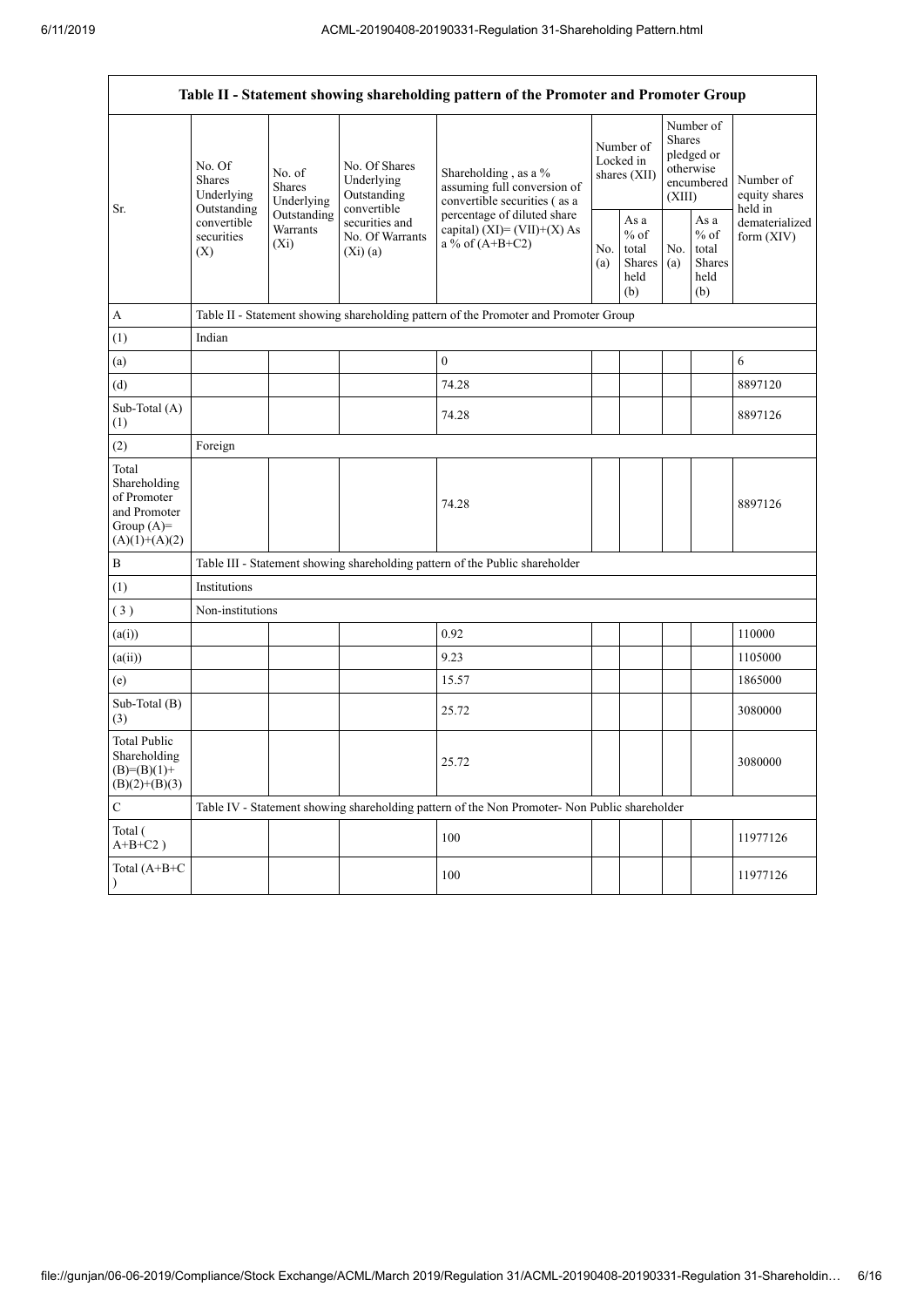| Table II - Statement showing shareholding pattern of the Promoter and Promoter Group    |                                                                                                     |                                       |                                                           |                                                                                               |                                        |                                                  |                                                                               |                                                                    |                                       |
|-----------------------------------------------------------------------------------------|-----------------------------------------------------------------------------------------------------|---------------------------------------|-----------------------------------------------------------|-----------------------------------------------------------------------------------------------|----------------------------------------|--------------------------------------------------|-------------------------------------------------------------------------------|--------------------------------------------------------------------|---------------------------------------|
| Sr.                                                                                     | No. Of<br><b>Shares</b><br>Underlying<br>Outstanding<br>convertible<br>securities<br>$(X_i)$<br>(X) | No. of<br><b>Shares</b><br>Underlying | No. Of Shares<br>Underlying<br>Outstanding<br>convertible | Shareholding, as a %<br>assuming full conversion of<br>convertible securities (as a           | Number of<br>Locked in<br>shares (XII) |                                                  | Number of<br><b>Shares</b><br>pledged or<br>otherwise<br>encumbered<br>(XIII) |                                                                    | Number of<br>equity shares<br>held in |
|                                                                                         |                                                                                                     | Outstanding<br>Warrants               | securities and<br>No. Of Warrants<br>(Xi)(a)              | percentage of diluted share<br>capital) $(XI) = (VII)+(X) As$<br>a % of $(A+B+C2)$            |                                        | As a<br>$%$ of<br>total<br>Shares<br>held<br>(b) | No.<br>(a)                                                                    | As $\mathbf a$<br>$\%$ of<br>total<br><b>Shares</b><br>held<br>(b) | dematerialized<br>form (XIV)          |
| A                                                                                       |                                                                                                     |                                       |                                                           | Table II - Statement showing shareholding pattern of the Promoter and Promoter Group          |                                        |                                                  |                                                                               |                                                                    |                                       |
| (1)                                                                                     | Indian                                                                                              |                                       |                                                           |                                                                                               |                                        |                                                  |                                                                               |                                                                    |                                       |
| (a)                                                                                     |                                                                                                     |                                       |                                                           | $\mathbf{0}$                                                                                  |                                        |                                                  |                                                                               |                                                                    | 6                                     |
| (d)                                                                                     |                                                                                                     |                                       |                                                           | 74.28                                                                                         |                                        |                                                  |                                                                               |                                                                    | 8897120                               |
| Sub-Total (A)<br>(1)                                                                    |                                                                                                     |                                       |                                                           | 74.28                                                                                         |                                        |                                                  |                                                                               |                                                                    | 8897126                               |
| (2)                                                                                     | Foreign                                                                                             |                                       |                                                           |                                                                                               |                                        |                                                  |                                                                               |                                                                    |                                       |
| Total<br>Shareholding<br>of Promoter<br>and Promoter<br>Group $(A)=$<br>$(A)(1)+(A)(2)$ |                                                                                                     |                                       |                                                           | 74.28                                                                                         |                                        |                                                  |                                                                               |                                                                    | 8897126                               |
| $\, {\bf B}$                                                                            |                                                                                                     |                                       |                                                           | Table III - Statement showing shareholding pattern of the Public shareholder                  |                                        |                                                  |                                                                               |                                                                    |                                       |
| (1)                                                                                     | Institutions                                                                                        |                                       |                                                           |                                                                                               |                                        |                                                  |                                                                               |                                                                    |                                       |
| (3)                                                                                     | Non-institutions                                                                                    |                                       |                                                           |                                                                                               |                                        |                                                  |                                                                               |                                                                    |                                       |
| (a(i))                                                                                  |                                                                                                     |                                       |                                                           | 0.92                                                                                          |                                        |                                                  |                                                                               |                                                                    | 110000                                |
| (a(ii))                                                                                 |                                                                                                     |                                       |                                                           | 9.23                                                                                          |                                        |                                                  |                                                                               |                                                                    | 1105000                               |
| (e)                                                                                     |                                                                                                     |                                       |                                                           | 15.57                                                                                         |                                        |                                                  |                                                                               |                                                                    | 1865000                               |
| Sub-Total (B)<br>(3)                                                                    |                                                                                                     |                                       |                                                           | 25.72                                                                                         |                                        |                                                  |                                                                               |                                                                    | 3080000                               |
| <b>Total Public</b><br>Shareholding<br>$(B)=(B)(1)+$<br>$(B)(2)+(B)(3)$                 |                                                                                                     |                                       |                                                           | 25.72                                                                                         |                                        |                                                  |                                                                               |                                                                    | 3080000                               |
| $\mathbf C$                                                                             |                                                                                                     |                                       |                                                           | Table IV - Statement showing shareholding pattern of the Non Promoter- Non Public shareholder |                                        |                                                  |                                                                               |                                                                    |                                       |
| Total (<br>$A+B+C2$ )                                                                   |                                                                                                     |                                       |                                                           | 100                                                                                           |                                        |                                                  |                                                                               |                                                                    | 11977126                              |
| Total (A+B+C                                                                            |                                                                                                     |                                       |                                                           | 100                                                                                           |                                        |                                                  |                                                                               |                                                                    | 11977126                              |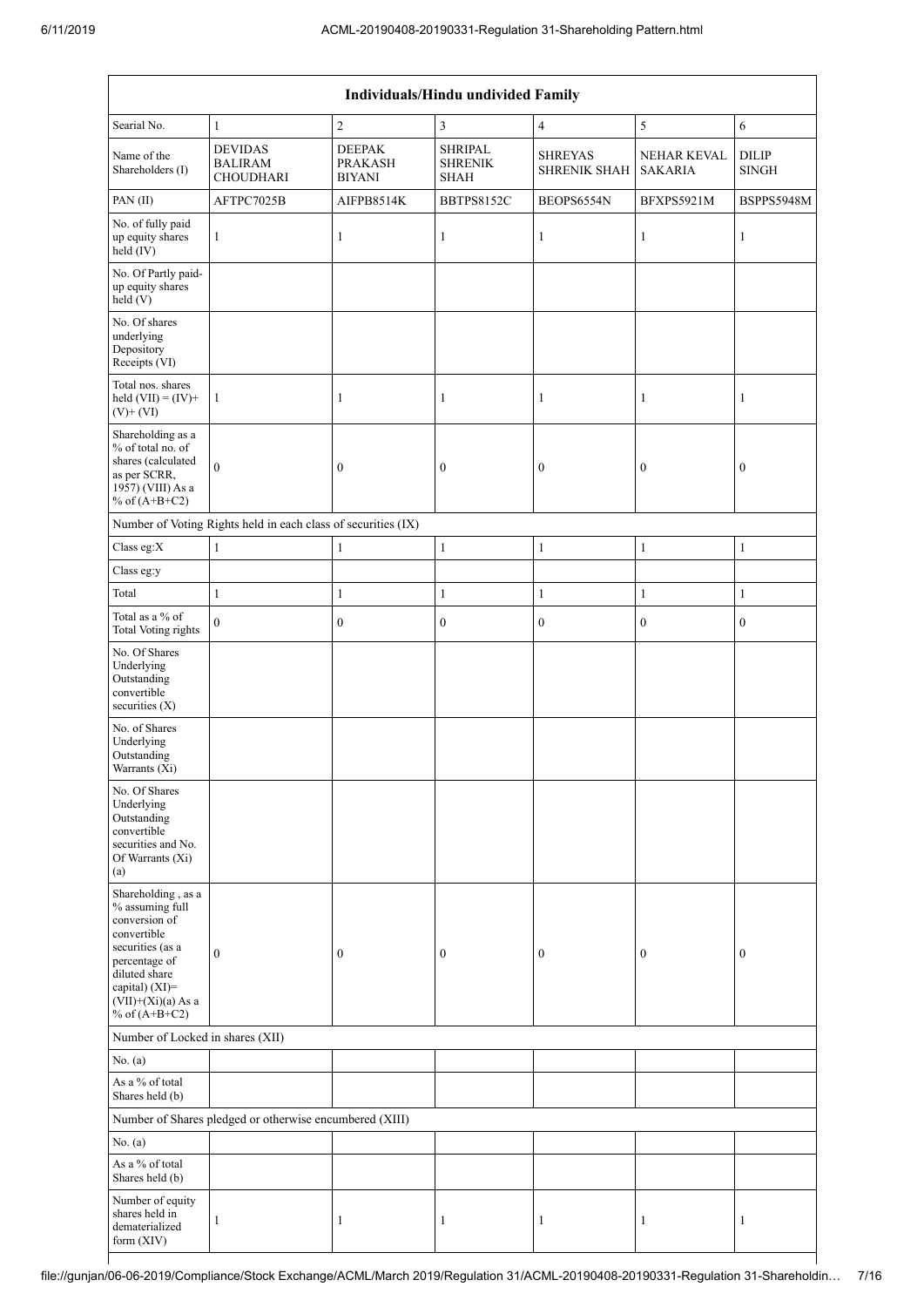| Individuals/Hindu undivided Family                                                                                                                                                       |                                                               |                                                  |                                                 |                                |                               |                              |  |  |
|------------------------------------------------------------------------------------------------------------------------------------------------------------------------------------------|---------------------------------------------------------------|--------------------------------------------------|-------------------------------------------------|--------------------------------|-------------------------------|------------------------------|--|--|
| Searial No.                                                                                                                                                                              | $\mathbf{1}$                                                  | $\overline{c}$                                   | 3                                               | $\overline{4}$                 | 5                             | $\sqrt{6}$                   |  |  |
| Name of the<br>Shareholders (I)                                                                                                                                                          | <b>DEVIDAS</b><br><b>BALIRAM</b><br>CHOUDHARI                 | <b>DEEPAK</b><br><b>PRAKASH</b><br><b>BIYANI</b> | <b>SHRIPAL</b><br><b>SHRENIK</b><br><b>SHAH</b> | <b>SHREYAS</b><br>SHRENIK SHAH | NEHAR KEVAL<br><b>SAKARIA</b> | <b>DILIP</b><br><b>SINGH</b> |  |  |
| PAN(II)                                                                                                                                                                                  | AFTPC7025B                                                    | AIFPB8514K                                       | <b>BBTPS8152C</b>                               | BEOPS6554N                     | BFXPS5921M                    | BSPPS5948M                   |  |  |
| No. of fully paid<br>up equity shares<br>$held$ (IV)                                                                                                                                     | $\mathbf{1}$                                                  | $\mathbf{1}$                                     | 1                                               | $\mathbf{1}$                   | $\mathbf{1}$                  | $\mathbf{1}$                 |  |  |
| No. Of Partly paid-<br>up equity shares<br>held (V)                                                                                                                                      |                                                               |                                                  |                                                 |                                |                               |                              |  |  |
| No. Of shares<br>underlying<br>Depository<br>Receipts (VI)                                                                                                                               |                                                               |                                                  |                                                 |                                |                               |                              |  |  |
| Total nos. shares<br>held $(VII) = (IV) +$<br>$(V)+(VI)$                                                                                                                                 | 1                                                             | 1                                                | 1                                               | 1                              | 1                             | 1                            |  |  |
| Shareholding as a<br>% of total no. of<br>shares (calculated<br>as per SCRR,<br>1957) (VIII) As a<br>% of $(A+B+C2)$                                                                     | $\theta$                                                      | 0                                                | $\boldsymbol{0}$                                | $\boldsymbol{0}$               | $\boldsymbol{0}$              | $\boldsymbol{0}$             |  |  |
|                                                                                                                                                                                          | Number of Voting Rights held in each class of securities (IX) |                                                  |                                                 |                                |                               |                              |  |  |
| Class eg:X                                                                                                                                                                               | $\mathbf{1}$                                                  | $\mathbf{1}$                                     | 1                                               | $\mathbf{1}$                   | 1                             | $\mathbf{1}$                 |  |  |
| Class eg:y                                                                                                                                                                               |                                                               |                                                  |                                                 |                                |                               |                              |  |  |
| Total<br>Total as a % of                                                                                                                                                                 | $\mathbf{1}$                                                  | $\mathbf{1}$                                     | $\mathbf{1}$                                    | $\mathbf{1}$                   | $\mathbf{1}$                  | $\mathbf{1}$                 |  |  |
| <b>Total Voting rights</b>                                                                                                                                                               | $\overline{0}$                                                | $\boldsymbol{0}$                                 | $\boldsymbol{0}$                                | $\boldsymbol{0}$               | $\boldsymbol{0}$              | $\mathbf{0}$                 |  |  |
| No. Of Shares<br>Underlying<br>Outstanding<br>convertible<br>securities (X)                                                                                                              |                                                               |                                                  |                                                 |                                |                               |                              |  |  |
| No. of Shares<br>Underlying<br>Outstanding<br>Warrants (Xi)                                                                                                                              |                                                               |                                                  |                                                 |                                |                               |                              |  |  |
| No. Of Shares<br>Underlying<br>Outstanding<br>convertible<br>securities and No.<br>Of Warrants (Xi)<br>(a)                                                                               |                                                               |                                                  |                                                 |                                |                               |                              |  |  |
| Shareholding, as a<br>% assuming full<br>conversion of<br>convertible<br>securities (as a<br>percentage of<br>diluted share<br>capital) (XI)=<br>$(VII)+(Xi)(a)$ As a<br>% of $(A+B+C2)$ | $\overline{0}$                                                | 0                                                | 0                                               | $\boldsymbol{0}$               | $\boldsymbol{0}$              | $\theta$                     |  |  |
| Number of Locked in shares (XII)                                                                                                                                                         |                                                               |                                                  |                                                 |                                |                               |                              |  |  |
| No. (a)                                                                                                                                                                                  |                                                               |                                                  |                                                 |                                |                               |                              |  |  |
| As a % of total<br>Shares held (b)                                                                                                                                                       |                                                               |                                                  |                                                 |                                |                               |                              |  |  |
|                                                                                                                                                                                          | Number of Shares pledged or otherwise encumbered (XIII)       |                                                  |                                                 |                                |                               |                              |  |  |
| No. (a)                                                                                                                                                                                  |                                                               |                                                  |                                                 |                                |                               |                              |  |  |
| As a % of total<br>Shares held (b)                                                                                                                                                       |                                                               |                                                  |                                                 |                                |                               |                              |  |  |
| Number of equity<br>shares held in<br>dematerialized<br>form (XIV)                                                                                                                       | $\mathbf{1}$                                                  | 1                                                | 1                                               | 1                              | 1                             | 1                            |  |  |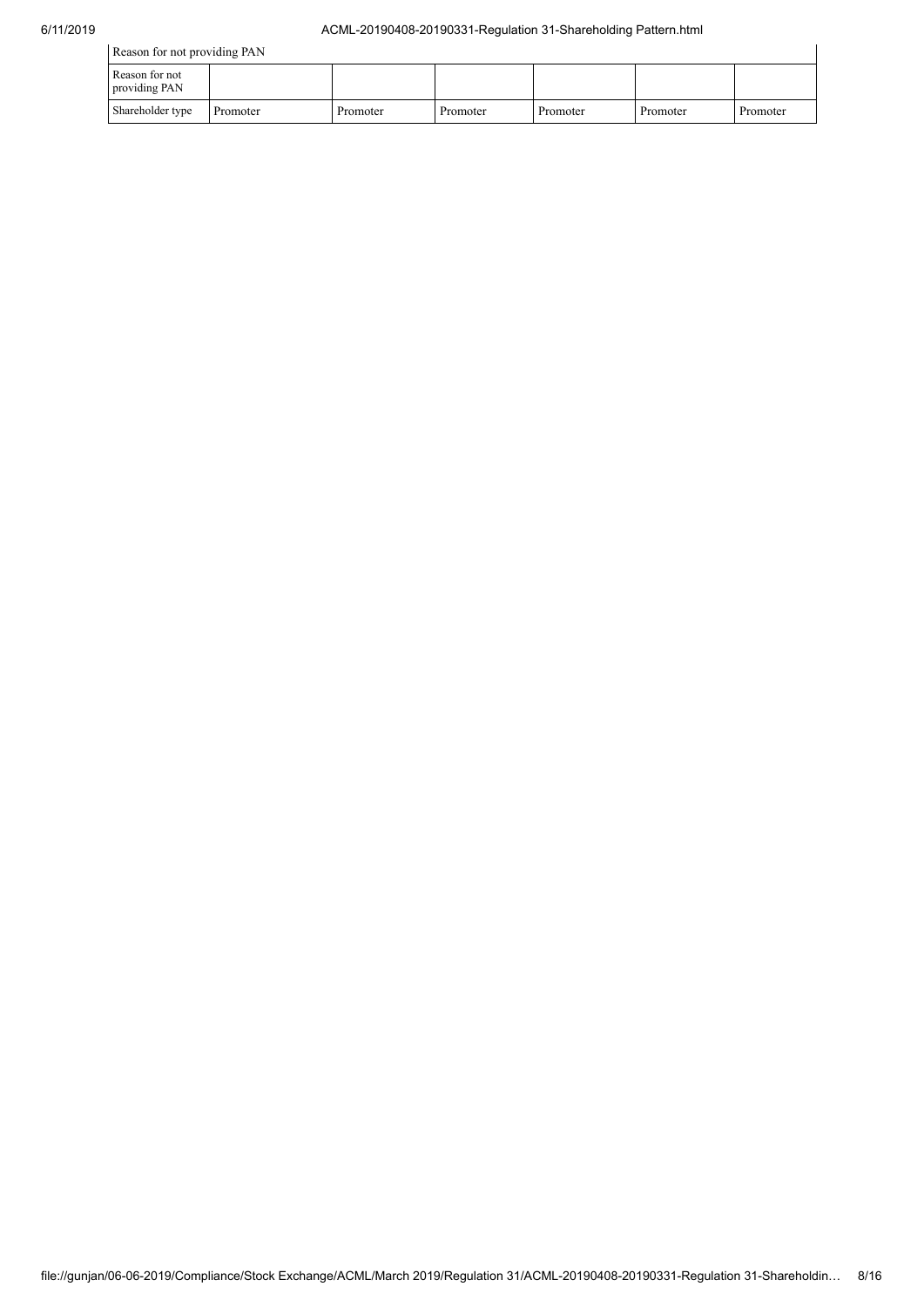| Reason for not providing PAN    |          |          |          |          |          |          |
|---------------------------------|----------|----------|----------|----------|----------|----------|
| Reason for not<br>providing PAN |          |          |          |          |          |          |
| Shareholder type                | Promoter | Promoter | Promoter | Promoter | Promoter | Promoter |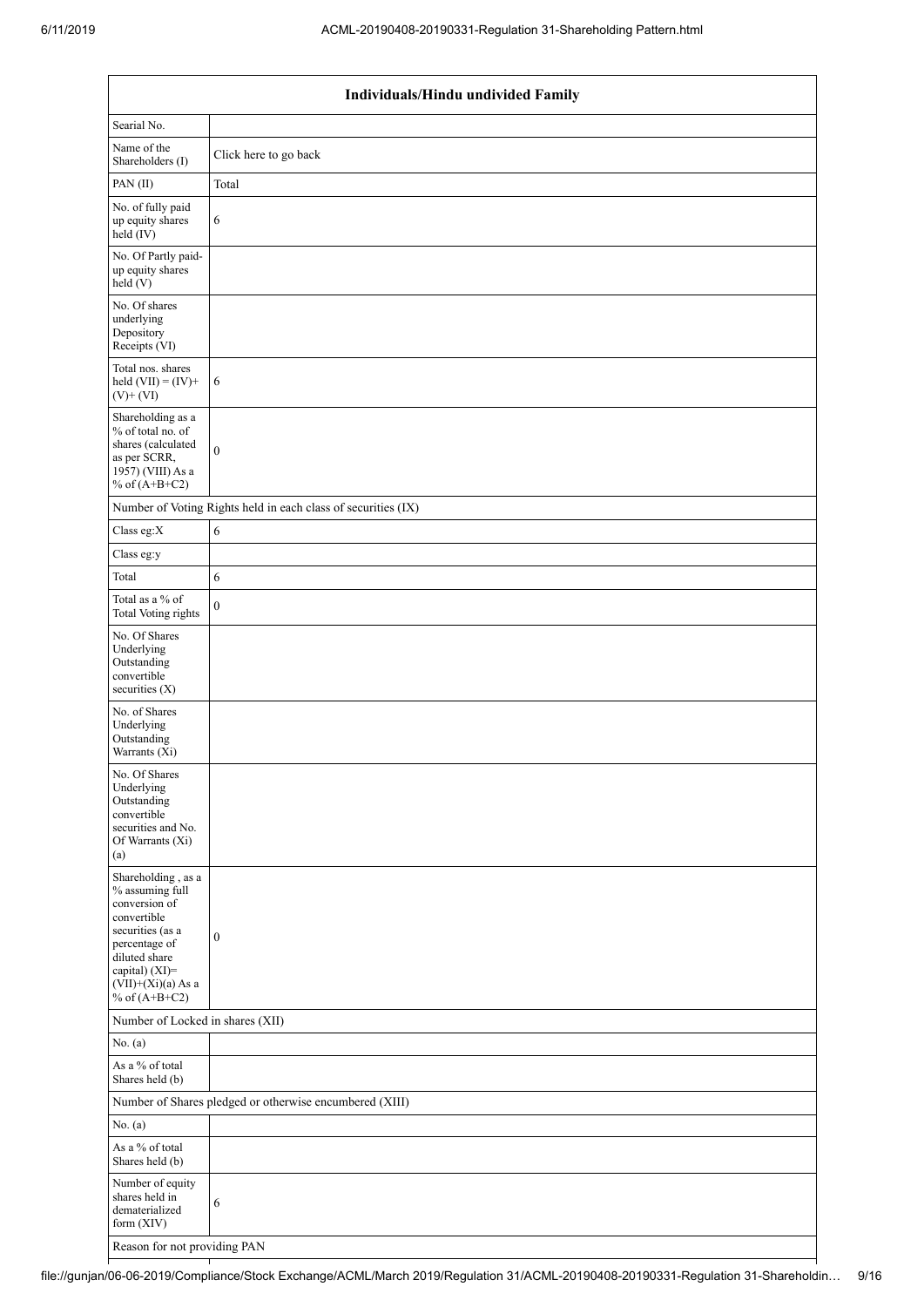| Searial No.<br>Name of the<br>Click here to go back<br>Shareholders (I)<br>Total<br>PAN(II)<br>No. of fully paid<br>$\sqrt{6}$<br>up equity shares<br>held (IV)<br>No. Of Partly paid-<br>up equity shares<br>held (V)<br>No. Of shares<br>underlying<br>Depository<br>Receipts (VI)<br>Total nos. shares<br>held $(VII) = (IV) +$<br>6<br>$(V)$ + $(VI)$<br>Shareholding as a<br>% of total no. of<br>shares (calculated<br>$\boldsymbol{0}$<br>as per SCRR,<br>1957) (VIII) As a<br>% of $(A+B+C2)$<br>Number of Voting Rights held in each class of securities (IX)<br>$\overline{6}$<br>Class eg:X<br>Class eg:y<br>Total<br>$\epsilon$<br>Total as a $\%$ of<br>$\boldsymbol{0}$<br><b>Total Voting rights</b><br>No. Of Shares<br>Underlying<br>Outstanding<br>convertible<br>securities (X)<br>No. of Shares<br>Underlying<br>Outstanding<br>Warrants (Xi)<br>No. Of Shares<br>Underlying<br>Outstanding<br>convertible<br>securities and No.<br>Of Warrants (Xi)<br>(a)<br>Shareholding, as a<br>% assuming full<br>conversion of<br>convertible<br>securities (as a<br>$\boldsymbol{0}$<br>percentage of<br>diluted share<br>capital) (XI)=<br>$(VII)+(Xi)(a)$ As a<br>% of $(A+B+C2)$<br>Number of Locked in shares (XII)<br>No. (a)<br>As a % of total | Individuals/Hindu undivided Family |  |  |  |  |  |
|-------------------------------------------------------------------------------------------------------------------------------------------------------------------------------------------------------------------------------------------------------------------------------------------------------------------------------------------------------------------------------------------------------------------------------------------------------------------------------------------------------------------------------------------------------------------------------------------------------------------------------------------------------------------------------------------------------------------------------------------------------------------------------------------------------------------------------------------------------------------------------------------------------------------------------------------------------------------------------------------------------------------------------------------------------------------------------------------------------------------------------------------------------------------------------------------------------------------------------------------------------------------|------------------------------------|--|--|--|--|--|
|                                                                                                                                                                                                                                                                                                                                                                                                                                                                                                                                                                                                                                                                                                                                                                                                                                                                                                                                                                                                                                                                                                                                                                                                                                                                   |                                    |  |  |  |  |  |
|                                                                                                                                                                                                                                                                                                                                                                                                                                                                                                                                                                                                                                                                                                                                                                                                                                                                                                                                                                                                                                                                                                                                                                                                                                                                   |                                    |  |  |  |  |  |
|                                                                                                                                                                                                                                                                                                                                                                                                                                                                                                                                                                                                                                                                                                                                                                                                                                                                                                                                                                                                                                                                                                                                                                                                                                                                   |                                    |  |  |  |  |  |
|                                                                                                                                                                                                                                                                                                                                                                                                                                                                                                                                                                                                                                                                                                                                                                                                                                                                                                                                                                                                                                                                                                                                                                                                                                                                   |                                    |  |  |  |  |  |
|                                                                                                                                                                                                                                                                                                                                                                                                                                                                                                                                                                                                                                                                                                                                                                                                                                                                                                                                                                                                                                                                                                                                                                                                                                                                   |                                    |  |  |  |  |  |
|                                                                                                                                                                                                                                                                                                                                                                                                                                                                                                                                                                                                                                                                                                                                                                                                                                                                                                                                                                                                                                                                                                                                                                                                                                                                   |                                    |  |  |  |  |  |
|                                                                                                                                                                                                                                                                                                                                                                                                                                                                                                                                                                                                                                                                                                                                                                                                                                                                                                                                                                                                                                                                                                                                                                                                                                                                   |                                    |  |  |  |  |  |
|                                                                                                                                                                                                                                                                                                                                                                                                                                                                                                                                                                                                                                                                                                                                                                                                                                                                                                                                                                                                                                                                                                                                                                                                                                                                   |                                    |  |  |  |  |  |
|                                                                                                                                                                                                                                                                                                                                                                                                                                                                                                                                                                                                                                                                                                                                                                                                                                                                                                                                                                                                                                                                                                                                                                                                                                                                   |                                    |  |  |  |  |  |
|                                                                                                                                                                                                                                                                                                                                                                                                                                                                                                                                                                                                                                                                                                                                                                                                                                                                                                                                                                                                                                                                                                                                                                                                                                                                   |                                    |  |  |  |  |  |
|                                                                                                                                                                                                                                                                                                                                                                                                                                                                                                                                                                                                                                                                                                                                                                                                                                                                                                                                                                                                                                                                                                                                                                                                                                                                   |                                    |  |  |  |  |  |
|                                                                                                                                                                                                                                                                                                                                                                                                                                                                                                                                                                                                                                                                                                                                                                                                                                                                                                                                                                                                                                                                                                                                                                                                                                                                   |                                    |  |  |  |  |  |
|                                                                                                                                                                                                                                                                                                                                                                                                                                                                                                                                                                                                                                                                                                                                                                                                                                                                                                                                                                                                                                                                                                                                                                                                                                                                   |                                    |  |  |  |  |  |
|                                                                                                                                                                                                                                                                                                                                                                                                                                                                                                                                                                                                                                                                                                                                                                                                                                                                                                                                                                                                                                                                                                                                                                                                                                                                   |                                    |  |  |  |  |  |
|                                                                                                                                                                                                                                                                                                                                                                                                                                                                                                                                                                                                                                                                                                                                                                                                                                                                                                                                                                                                                                                                                                                                                                                                                                                                   |                                    |  |  |  |  |  |
|                                                                                                                                                                                                                                                                                                                                                                                                                                                                                                                                                                                                                                                                                                                                                                                                                                                                                                                                                                                                                                                                                                                                                                                                                                                                   |                                    |  |  |  |  |  |
|                                                                                                                                                                                                                                                                                                                                                                                                                                                                                                                                                                                                                                                                                                                                                                                                                                                                                                                                                                                                                                                                                                                                                                                                                                                                   |                                    |  |  |  |  |  |
|                                                                                                                                                                                                                                                                                                                                                                                                                                                                                                                                                                                                                                                                                                                                                                                                                                                                                                                                                                                                                                                                                                                                                                                                                                                                   |                                    |  |  |  |  |  |
|                                                                                                                                                                                                                                                                                                                                                                                                                                                                                                                                                                                                                                                                                                                                                                                                                                                                                                                                                                                                                                                                                                                                                                                                                                                                   |                                    |  |  |  |  |  |
| Shares held (b)                                                                                                                                                                                                                                                                                                                                                                                                                                                                                                                                                                                                                                                                                                                                                                                                                                                                                                                                                                                                                                                                                                                                                                                                                                                   |                                    |  |  |  |  |  |
| Number of Shares pledged or otherwise encumbered (XIII)                                                                                                                                                                                                                                                                                                                                                                                                                                                                                                                                                                                                                                                                                                                                                                                                                                                                                                                                                                                                                                                                                                                                                                                                           |                                    |  |  |  |  |  |
| No. (a)                                                                                                                                                                                                                                                                                                                                                                                                                                                                                                                                                                                                                                                                                                                                                                                                                                                                                                                                                                                                                                                                                                                                                                                                                                                           |                                    |  |  |  |  |  |
| As a % of total<br>Shares held (b)                                                                                                                                                                                                                                                                                                                                                                                                                                                                                                                                                                                                                                                                                                                                                                                                                                                                                                                                                                                                                                                                                                                                                                                                                                |                                    |  |  |  |  |  |
| Number of equity<br>shares held in<br>$\sqrt{6}$<br>dematerialized<br>form (XIV)                                                                                                                                                                                                                                                                                                                                                                                                                                                                                                                                                                                                                                                                                                                                                                                                                                                                                                                                                                                                                                                                                                                                                                                  |                                    |  |  |  |  |  |
| Reason for not providing PAN                                                                                                                                                                                                                                                                                                                                                                                                                                                                                                                                                                                                                                                                                                                                                                                                                                                                                                                                                                                                                                                                                                                                                                                                                                      |                                    |  |  |  |  |  |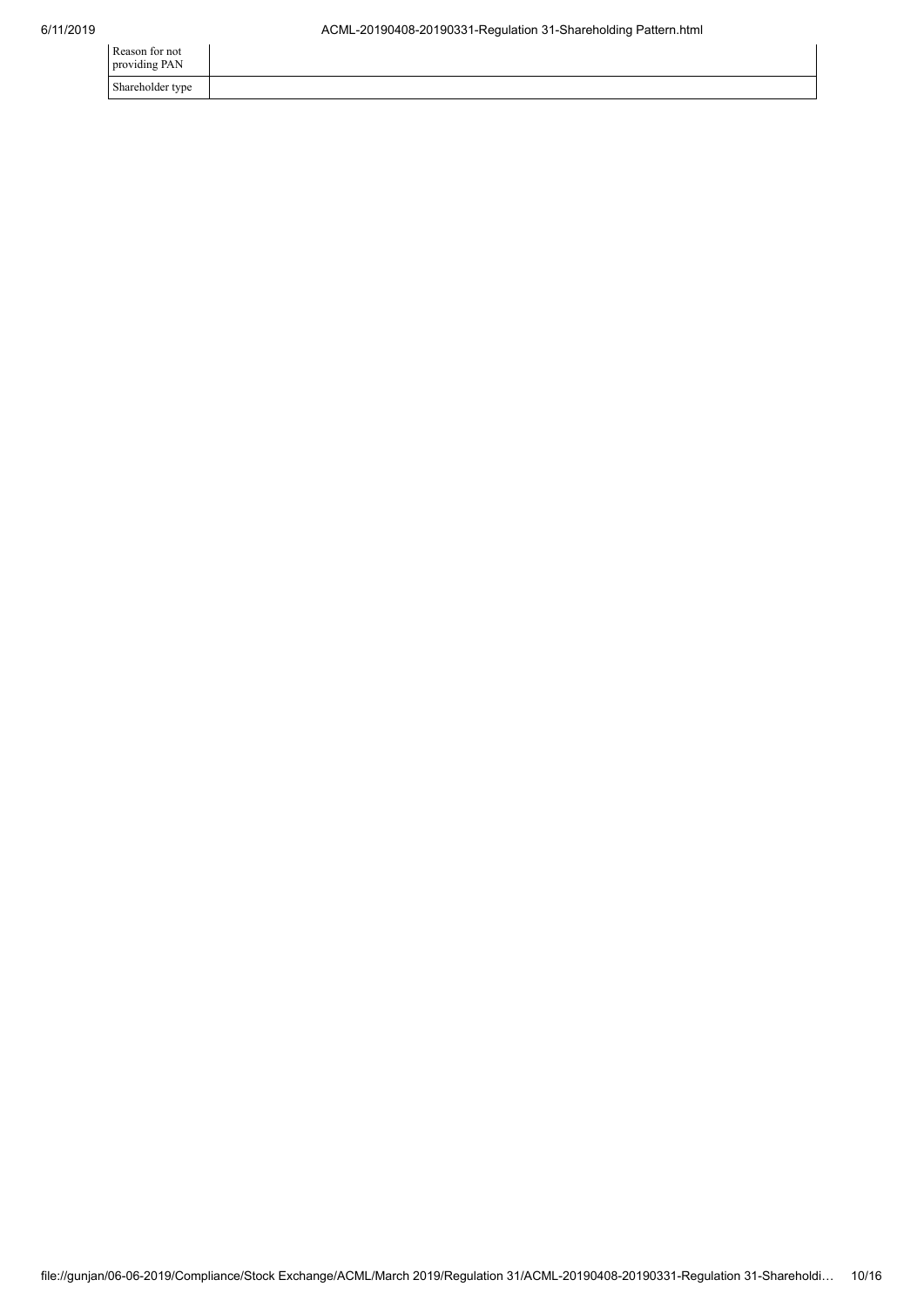| Reason for not<br>providing PAN |  |
|---------------------------------|--|
| Shareholder type                |  |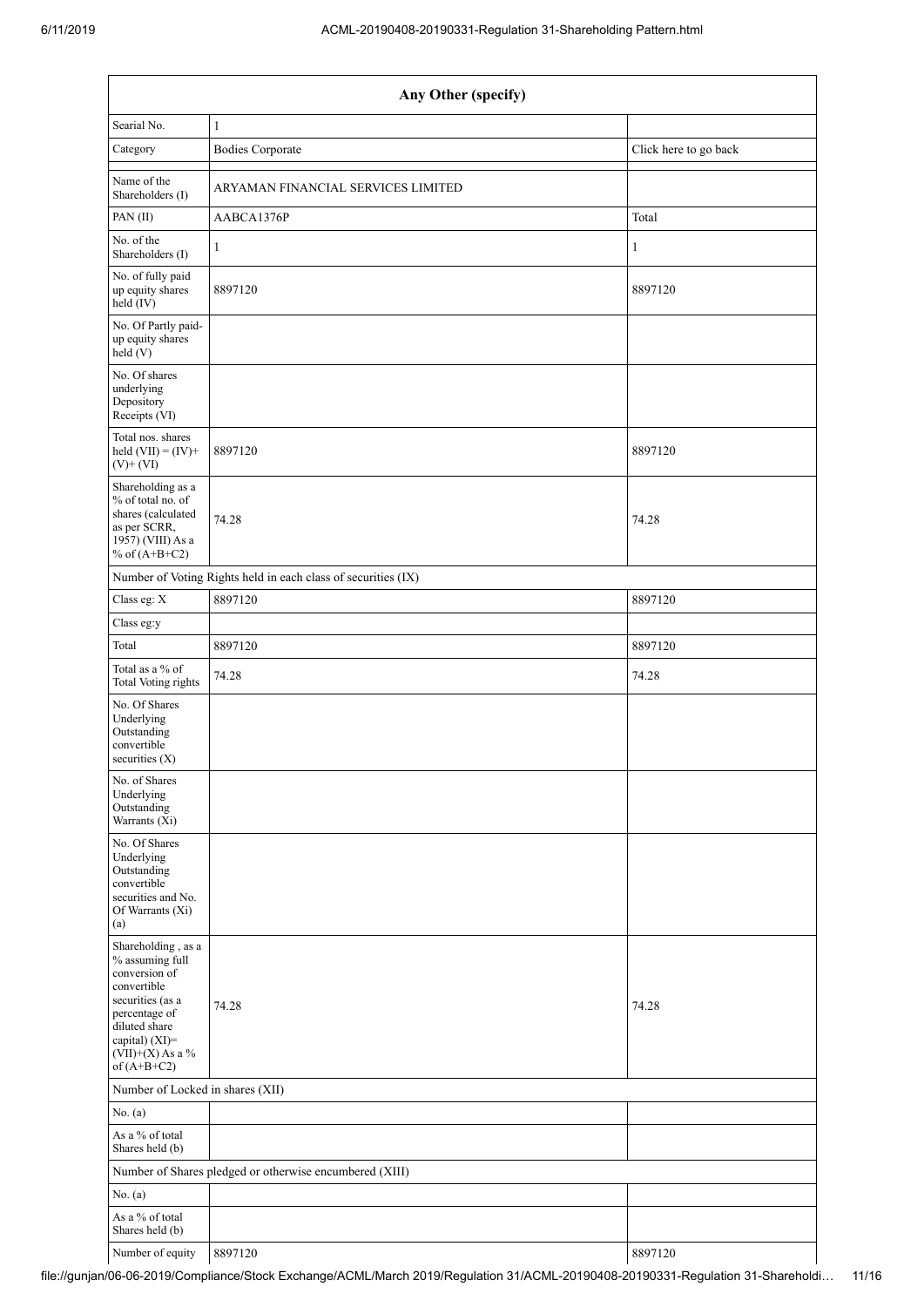| Any Other (specify)                                                                                                            |                                                               |                       |  |  |  |
|--------------------------------------------------------------------------------------------------------------------------------|---------------------------------------------------------------|-----------------------|--|--|--|
| Searial No.                                                                                                                    | $\mathbf{1}$                                                  |                       |  |  |  |
| Category                                                                                                                       | <b>Bodies Corporate</b>                                       | Click here to go back |  |  |  |
| Name of the<br>Shareholders (I)                                                                                                | ARYAMAN FINANCIAL SERVICES LIMITED                            |                       |  |  |  |
| PAN(II)                                                                                                                        | AABCA1376P                                                    | Total                 |  |  |  |
| No. of the<br>Shareholders (I)                                                                                                 | $\mathbf{1}$                                                  | $\mathbf{1}$          |  |  |  |
| No. of fully paid<br>up equity shares<br>$held$ (IV)                                                                           | 8897120                                                       | 8897120               |  |  |  |
| No. Of Partly paid-<br>up equity shares<br>held (V)                                                                            |                                                               |                       |  |  |  |
| No. Of shares<br>underlying<br>Depository<br>Receipts (VI)                                                                     |                                                               |                       |  |  |  |
| Total nos. shares<br>held $(VII) = (IV) +$<br>$(V)$ + $(VI)$                                                                   | 8897120                                                       | 8897120               |  |  |  |
| Shareholding as a<br>% of total no. of<br>shares (calculated<br>as per SCRR,<br>1957) (VIII) As a<br>% of $(A+B+C2)$           | 74.28                                                         | 74.28                 |  |  |  |
|                                                                                                                                | Number of Voting Rights held in each class of securities (IX) |                       |  |  |  |
| Class eg: X                                                                                                                    | 8897120                                                       | 8897120               |  |  |  |
| Class eg:y                                                                                                                     |                                                               |                       |  |  |  |
| Total                                                                                                                          | 8897120                                                       | 8897120               |  |  |  |
| Total as a % of<br><b>Total Voting rights</b>                                                                                  | 74.28                                                         | 74.28                 |  |  |  |
| No. Of Shares<br>Underlying<br>Outstanding<br>convertible<br>securities $(X)$                                                  |                                                               |                       |  |  |  |
| No. of Shares<br>Underlying<br>Outstanding<br>Warrants (Xi)                                                                    |                                                               |                       |  |  |  |
| No. Of Shares<br>Underlying<br>Outstanding<br>convertible<br>securities and No.<br>Of Warrants (Xi)<br>(a)                     |                                                               |                       |  |  |  |
| Shareholding, as a<br>$\%$ assuming full<br>conversion of<br>convertible<br>securities (as a<br>percentage of<br>diluted share | 74.28                                                         | 74.28                 |  |  |  |
| capital) (XI)=<br>$(VII)+(X)$ As a %<br>of $(A+B+C2)$                                                                          |                                                               |                       |  |  |  |
| Number of Locked in shares (XII)                                                                                               |                                                               |                       |  |  |  |
| No. (a)                                                                                                                        |                                                               |                       |  |  |  |
| As a % of total<br>Shares held (b)                                                                                             |                                                               |                       |  |  |  |
|                                                                                                                                | Number of Shares pledged or otherwise encumbered (XIII)       |                       |  |  |  |
| No. (a)                                                                                                                        |                                                               |                       |  |  |  |
| As a % of total<br>Shares held (b)                                                                                             |                                                               |                       |  |  |  |
| Number of equity                                                                                                               | 8897120                                                       | 8897120               |  |  |  |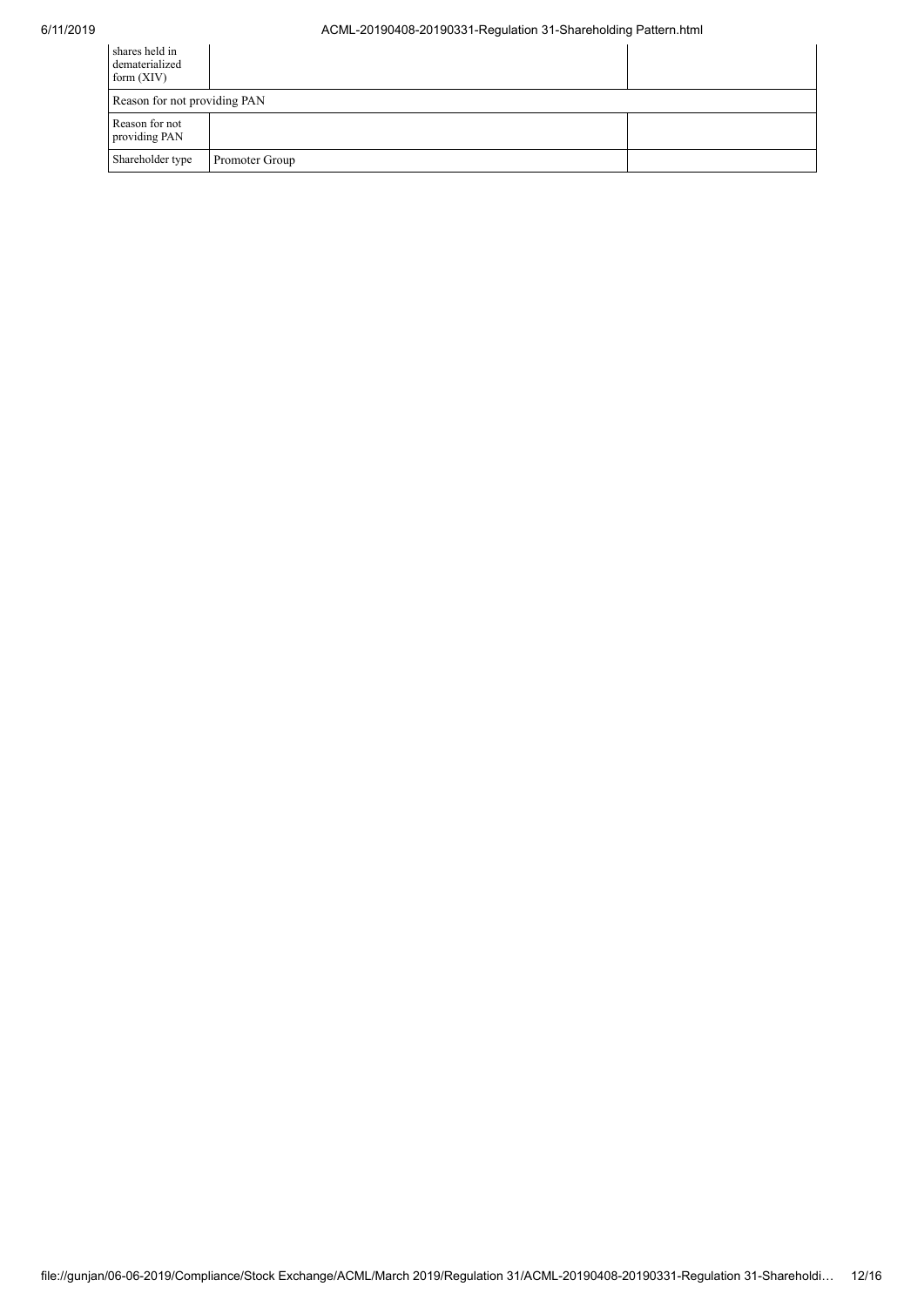## 6/11/2019 ACML-20190408-20190331-Regulation 31-Shareholding Pattern.html

| shares held in<br>dematerialized<br>form $(XIV)$ |                |  |
|--------------------------------------------------|----------------|--|
| Reason for not providing PAN                     |                |  |
| Reason for not<br>providing PAN                  |                |  |
| Shareholder type                                 | Promoter Group |  |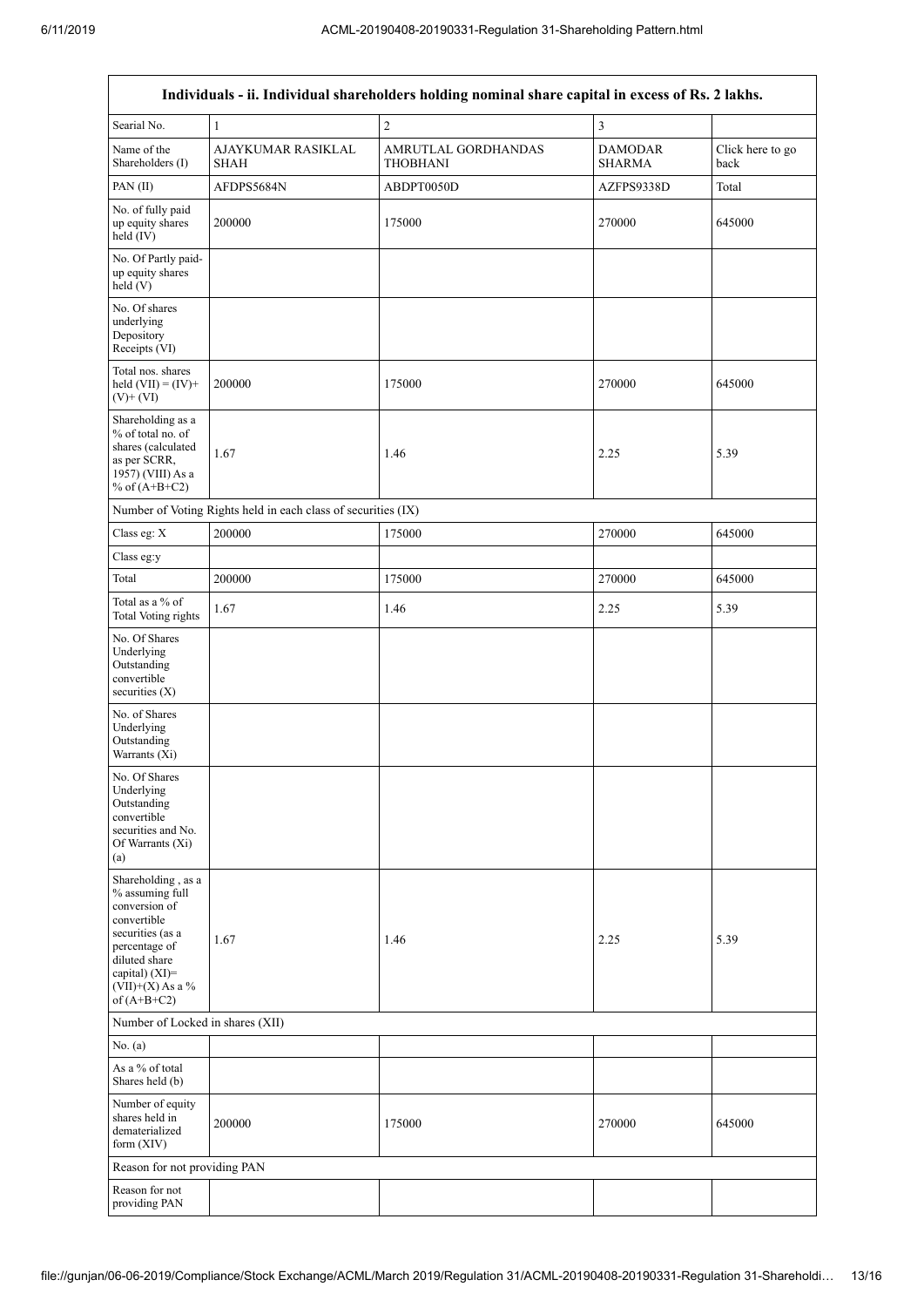| Individuals - ii. Individual shareholders holding nominal share capital in excess of Rs. 2 lakhs.                                                                                    |                                   |                                        |                                 |                          |  |  |  |
|--------------------------------------------------------------------------------------------------------------------------------------------------------------------------------------|-----------------------------------|----------------------------------------|---------------------------------|--------------------------|--|--|--|
| Searial No.                                                                                                                                                                          | $\mathbf{1}$                      | $\overline{c}$                         | $\mathfrak{Z}$                  |                          |  |  |  |
| Name of the<br>Shareholders (I)                                                                                                                                                      | AJAYKUMAR RASIKLAL<br><b>SHAH</b> | AMRUTLAL GORDHANDAS<br><b>THOBHANI</b> | <b>DAMODAR</b><br><b>SHARMA</b> | Click here to go<br>back |  |  |  |
| PAN(II)                                                                                                                                                                              | AFDPS5684N                        | ABDPT0050D                             | AZFPS9338D                      | Total                    |  |  |  |
| No. of fully paid<br>up equity shares<br>held $(IV)$                                                                                                                                 | 200000                            | 175000                                 | 270000                          | 645000                   |  |  |  |
| No. Of Partly paid-<br>up equity shares<br>held (V)                                                                                                                                  |                                   |                                        |                                 |                          |  |  |  |
| No. Of shares<br>underlying<br>Depository<br>Receipts (VI)                                                                                                                           |                                   |                                        |                                 |                          |  |  |  |
| Total nos. shares<br>held $(VII) = (IV) +$<br>$(V)$ + $(VI)$                                                                                                                         | 200000                            | 175000                                 | 270000                          | 645000                   |  |  |  |
| Shareholding as a<br>% of total no. of<br>shares (calculated<br>as per SCRR,<br>1957) (VIII) As a<br>% of $(A+B+C2)$                                                                 | 1.67                              | 1.46                                   | 2.25                            | 5.39                     |  |  |  |
| Number of Voting Rights held in each class of securities (IX)                                                                                                                        |                                   |                                        |                                 |                          |  |  |  |
| Class eg: X                                                                                                                                                                          | 200000                            | 175000                                 | 270000                          | 645000                   |  |  |  |
| Class eg:y                                                                                                                                                                           |                                   |                                        |                                 |                          |  |  |  |
| Total                                                                                                                                                                                | 200000                            | 175000                                 | 270000                          | 645000                   |  |  |  |
| Total as a % of<br>Total Voting rights                                                                                                                                               | 1.67                              | 1.46                                   | 2.25                            | 5.39                     |  |  |  |
| No. Of Shares<br>Underlying<br>Outstanding<br>convertible<br>securities $(X)$                                                                                                        |                                   |                                        |                                 |                          |  |  |  |
| No. of Shares<br>Underlying<br>Outstanding<br>Warrants (Xi)                                                                                                                          |                                   |                                        |                                 |                          |  |  |  |
| No. Of Shares<br>Underlying<br>Outstanding<br>convertible<br>securities and No.<br>Of Warrants (Xi)<br>(a)                                                                           |                                   |                                        |                                 |                          |  |  |  |
| Shareholding, as a<br>% assuming full<br>conversion of<br>convertible<br>securities (as a<br>percentage of<br>diluted share<br>capital) (XI)=<br>$(VII)+(X)$ As a %<br>of $(A+B+C2)$ | 1.67                              | 1.46                                   | 2.25                            | 5.39                     |  |  |  |
| Number of Locked in shares (XII)                                                                                                                                                     |                                   |                                        |                                 |                          |  |  |  |
| No. $(a)$                                                                                                                                                                            |                                   |                                        |                                 |                          |  |  |  |
| As a % of total<br>Shares held (b)                                                                                                                                                   |                                   |                                        |                                 |                          |  |  |  |
| Number of equity<br>shares held in<br>dematerialized<br>form (XIV)                                                                                                                   | 200000                            | 175000                                 | 270000                          | 645000                   |  |  |  |
| Reason for not providing PAN                                                                                                                                                         |                                   |                                        |                                 |                          |  |  |  |
| Reason for not<br>providing PAN                                                                                                                                                      |                                   |                                        |                                 |                          |  |  |  |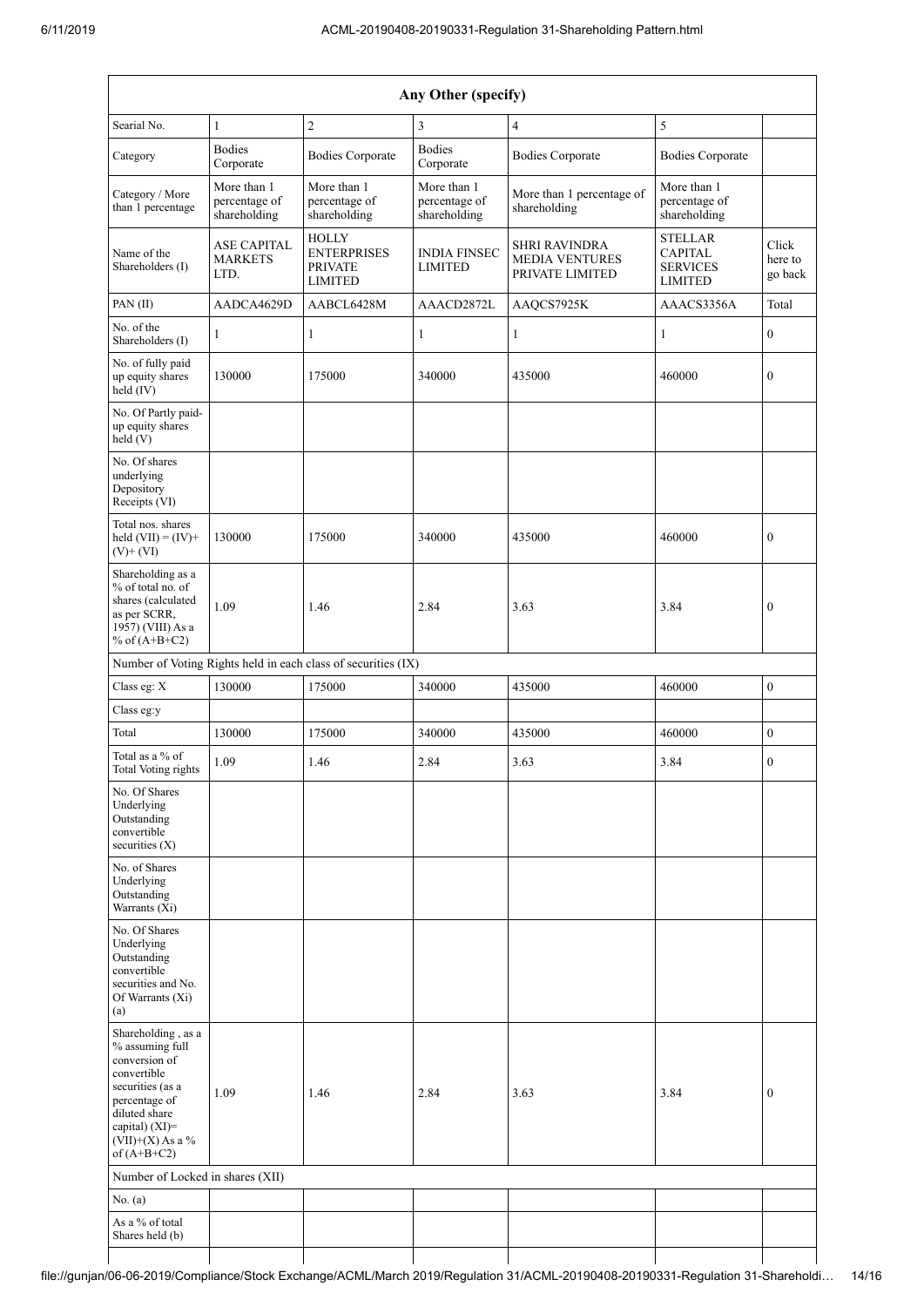| Any Other (specify)                                                                                                                                                 |                                              |                                                                        |                                              |                                                                  |                                                                       |                             |  |
|---------------------------------------------------------------------------------------------------------------------------------------------------------------------|----------------------------------------------|------------------------------------------------------------------------|----------------------------------------------|------------------------------------------------------------------|-----------------------------------------------------------------------|-----------------------------|--|
| Searial No.                                                                                                                                                         | $\mathbf{1}$                                 | $\overline{2}$                                                         | 3                                            | $\overline{4}$                                                   | 5                                                                     |                             |  |
| Category                                                                                                                                                            | <b>Bodies</b><br>Corporate                   | <b>Bodies Corporate</b>                                                | <b>Bodies</b><br>Corporate                   | <b>Bodies Corporate</b>                                          | <b>Bodies Corporate</b>                                               |                             |  |
| Category / More<br>than 1 percentage                                                                                                                                | More than 1<br>percentage of<br>shareholding | More than 1<br>percentage of<br>shareholding                           | More than 1<br>percentage of<br>shareholding | More than 1 percentage of<br>shareholding                        | More than 1<br>percentage of<br>shareholding                          |                             |  |
| Name of the<br>Shareholders (I)                                                                                                                                     | <b>ASE CAPITAL</b><br><b>MARKETS</b><br>LTD. | <b>HOLLY</b><br><b>ENTERPRISES</b><br><b>PRIVATE</b><br><b>LIMITED</b> | <b>INDIA FINSEC</b><br><b>LIMITED</b>        | <b>SHRI RAVINDRA</b><br><b>MEDIA VENTURES</b><br>PRIVATE LIMITED | <b>STELLAR</b><br><b>CAPITAL</b><br><b>SERVICES</b><br><b>LIMITED</b> | Click<br>here to<br>go back |  |
| PAN(II)                                                                                                                                                             | AADCA4629D                                   | AABCL6428M                                                             | AAACD2872L                                   | AAQCS7925K                                                       | AAACS3356A                                                            | Total                       |  |
| No. of the<br>Shareholders (I)                                                                                                                                      | 1                                            | $\mathbf{1}$                                                           | 1                                            | $\mathbf{1}$                                                     | 1                                                                     | $\boldsymbol{0}$            |  |
| No. of fully paid<br>up equity shares<br>held (IV)                                                                                                                  | 130000                                       | 175000                                                                 | 340000                                       | 435000                                                           | 460000                                                                | $\mathbf{0}$                |  |
| No. Of Partly paid-<br>up equity shares<br>held (V)                                                                                                                 |                                              |                                                                        |                                              |                                                                  |                                                                       |                             |  |
| No. Of shares<br>underlying<br>Depository<br>Receipts (VI)                                                                                                          |                                              |                                                                        |                                              |                                                                  |                                                                       |                             |  |
| Total nos. shares<br>held $(VII) = (IV) +$<br>$(V)$ + $(VI)$                                                                                                        | 130000                                       | 175000                                                                 | 340000                                       | 435000                                                           | 460000                                                                | $\boldsymbol{0}$            |  |
| Shareholding as a<br>% of total no. of<br>shares (calculated<br>as per SCRR,<br>1957) (VIII) As a<br>% of $(A+B+C2)$                                                | 1.09                                         | 1.46                                                                   | 2.84                                         | 3.63                                                             | 3.84                                                                  | $\boldsymbol{0}$            |  |
| Number of Voting Rights held in each class of securities (IX)                                                                                                       |                                              |                                                                        |                                              |                                                                  |                                                                       |                             |  |
| Class eg: X                                                                                                                                                         | 130000                                       | 175000                                                                 | 340000                                       | 435000                                                           | 460000                                                                | $\boldsymbol{0}$            |  |
| Class eg:y                                                                                                                                                          |                                              |                                                                        |                                              |                                                                  |                                                                       |                             |  |
| Total                                                                                                                                                               | 130000                                       | 175000                                                                 | 340000                                       | 435000                                                           | 460000                                                                | $\boldsymbol{0}$            |  |
| Total as a % of<br><b>Total Voting rights</b>                                                                                                                       | 1.09                                         | 1.46                                                                   | 2.84                                         | 3.63                                                             | 3.84                                                                  | $\mathbf{0}$                |  |
| No. Of Shares<br>Underlying<br>Outstanding<br>convertible<br>securities (X)                                                                                         |                                              |                                                                        |                                              |                                                                  |                                                                       |                             |  |
| No. of Shares<br>Underlying<br>Outstanding<br>Warrants (Xi)                                                                                                         |                                              |                                                                        |                                              |                                                                  |                                                                       |                             |  |
| No. Of Shares<br>Underlying<br>Outstanding<br>convertible<br>securities and No.<br>Of Warrants (Xi)<br>(a)                                                          |                                              |                                                                        |                                              |                                                                  |                                                                       |                             |  |
| Shareholding, as a<br>% assuming full<br>conversion of<br>convertible<br>securities (as a<br>percentage of<br>diluted share<br>capital) (XI)=<br>$(VII)+(X)$ As a % | 1.09                                         | 1.46                                                                   | 2.84                                         | 3.63                                                             | 3.84                                                                  | $\mathbf{0}$                |  |
| of $(A+B+C2)$<br>Number of Locked in shares (XII)                                                                                                                   |                                              |                                                                        |                                              |                                                                  |                                                                       |                             |  |
| No. (a)                                                                                                                                                             |                                              |                                                                        |                                              |                                                                  |                                                                       |                             |  |
| As a % of total<br>Shares held (b)                                                                                                                                  |                                              |                                                                        |                                              |                                                                  |                                                                       |                             |  |

 $\overline{\phantom{a}}$ 

 $\overline{\phantom{a}}$